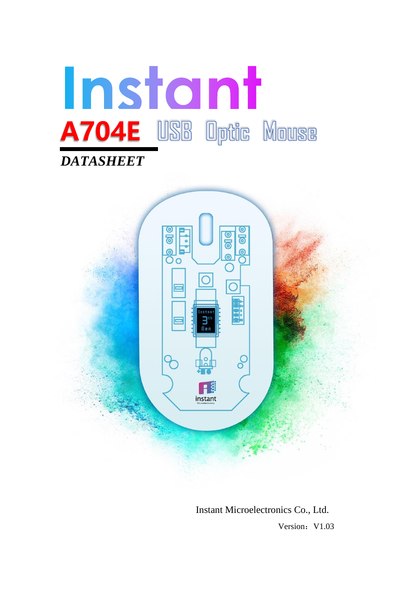



Instant Microelectronics Co., Ltd. **Version: V1.03**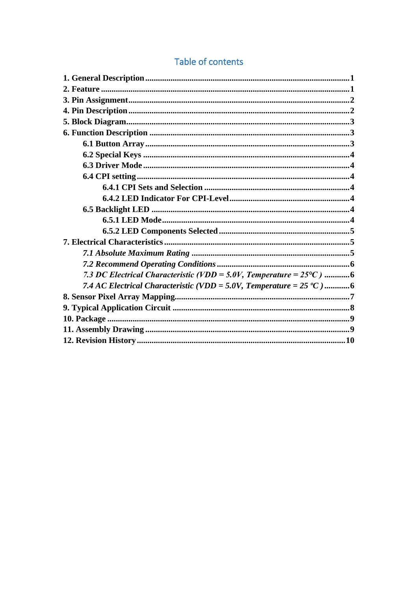# Table of contents

| 7.3 DC Electrical Characteristic (VDD = 5.0V, Temperature = $25^{\circ}$ C) 6 |
|-------------------------------------------------------------------------------|
| 7.4 AC Electrical Characteristic (VDD = 5.0V, Temperature = $25 °C$ )6        |
|                                                                               |
|                                                                               |
|                                                                               |
|                                                                               |
|                                                                               |
|                                                                               |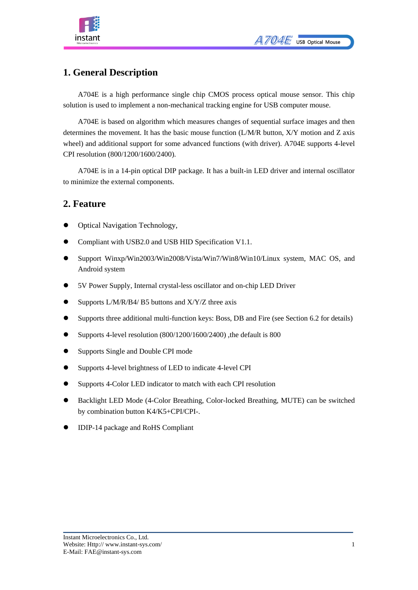

# <span id="page-2-0"></span>**1. General Description**

A704E is a high performance single chip CMOS process optical mouse sensor. This chip solution is used to implement a non-mechanical tracking engine for USB computer mouse.

A704E is based on algorithm which measures changes of sequential surface images and then determines the movement. It has the basic mouse function (L/M/R button, X/Y motion and Z axis wheel) and additional support for some advanced functions (with driver). A704E supports 4-level CPI resolution (800/1200/1600/2400).

A704E is in a 14-pin optical DIP package. It has a built-in LED driver and internal oscillator to minimize the external components.

### <span id="page-2-1"></span>**2. Feature**

- ⚫ Optical Navigation Technology,
- ⚫ Compliant with USB2.0 and USB HID Specification V1.1.
- ⚫ Support Winxp/Win2003/Win2008/Vista/Win7/Win8/Win10/Linux system, MAC OS, and Android system
- ⚫ 5V Power Supply, Internal crystal-less oscillator and on-chip LED Driver
- Supports L/M/R/B4/ B5 buttons and X/Y/Z three axis
- ⚫ Supports three additional multi-function keys: Boss, DB and Fire (see Section 6.2 for details)
- Supports 4-level resolution (800/1200/1600/2400), the default is 800
- Supports Single and Double CPI mode
- ⚫ Supports 4-level brightness of LED to indicate 4-level CPI
- ⚫ Supports 4-Color LED indicator to match with each CPI resolution
- ⚫ Backlight LED Mode (4-Color Breathing, Color-locked Breathing, MUTE) can be switched by combination button K4/K5+CPI/CPI-.
- ⚫ IDIP-14 package and RoHS Compliant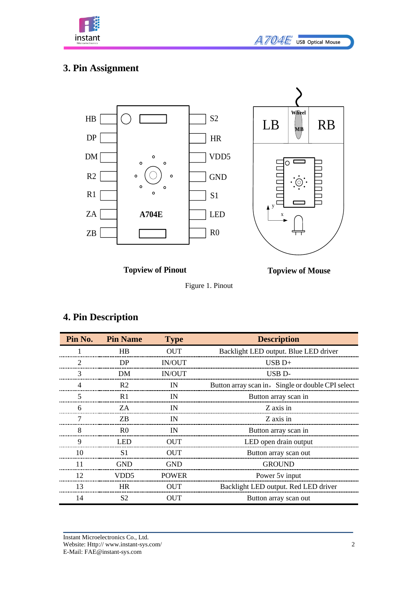

# <span id="page-3-0"></span>**3. Pin Assignment**



**Topview of Pinout**



Figure 1. Pinout

## <span id="page-3-1"></span>**4. Pin Description**

| Pin No.        | <b>Pin Name</b> | <b>Type</b>   | <b>Description</b>                                |
|----------------|-----------------|---------------|---------------------------------------------------|
|                | HB              | <b>OUT</b>    | Backlight LED output. Blue LED driver             |
| $\overline{2}$ | DP              | <b>IN/OUT</b> | $USB D+$                                          |
| 3              | DM              | <b>IN/OUT</b> | USB <sub>D</sub> -                                |
| $\overline{4}$ | R <sub>2</sub>  | IN            | Button array scan in, Single or double CPI select |
| 5              | R <sub>1</sub>  | IN            | Button array scan in                              |
| 6              | ZA              | IN            | Z axis in                                         |
| 7              | ZB.             | IN            | Z axis in                                         |
| 8              | R <sub>0</sub>  | IN            | Button array scan in                              |
| 9              | <b>LED</b>      | <b>OUT</b>    | LED open drain output                             |
| 10             | S1              | <b>OUT</b>    | Button array scan out                             |
| 11             | <b>GND</b>      | <b>GND</b>    | <b>GROUND</b>                                     |
| 12             | VDD5            | <b>POWER</b>  | Power 5y input                                    |
| 13             | <b>HR</b>       | <b>OUT</b>    | Backlight LED output. Red LED driver              |
| 14             | S <sub>2</sub>  | <b>OUT</b>    | Button array scan out                             |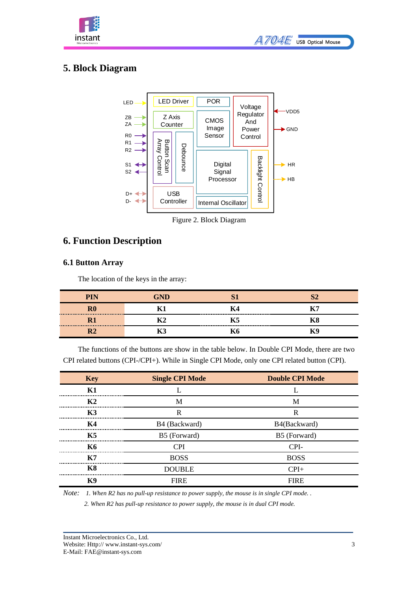



# <span id="page-4-0"></span>**5. Block Diagram**



Figure 2. Block Diagram

### <span id="page-4-1"></span>**6. Function Description**

#### <span id="page-4-2"></span>**6.1** B**utton Array**

The location of the keys in the array:

|  | 「アー |
|--|-----|
|  |     |
|  |     |

The functions of the buttons are show in the table below. In Double CPI Mode, there are two CPI related buttons (CPI-/CPI+). While in Single CPI Mode, only one CPI related button (CPI).

| <b>Key</b>     | <b>Single CPI Mode</b> | <b>Double CPI Mode</b> |
|----------------|------------------------|------------------------|
| K1             |                        |                        |
| K2             | M                      | M                      |
| K3             | R                      | R                      |
| K4             | B4 (Backward)          | B4(Backward)           |
| K5             | B5 (Forward)           | B5 (Forward)           |
| <b>K6</b>      | <b>CPI</b>             | CPI-                   |
| <b>K7</b>      | <b>BOSS</b>            | <b>BOSS</b>            |
| <b>K8</b>      | <b>DOUBLE</b>          | $CPI+$                 |
| K <sub>9</sub> | <b>FIRE</b>            | <b>FIRE</b>            |

*Note: 1. When R2 has no pull-up resistance to power supply, the mouse is in single CPI mode. .* 

*2. When R2 has pull-up resistance to power supply, the mouse is in dual CPI mode.*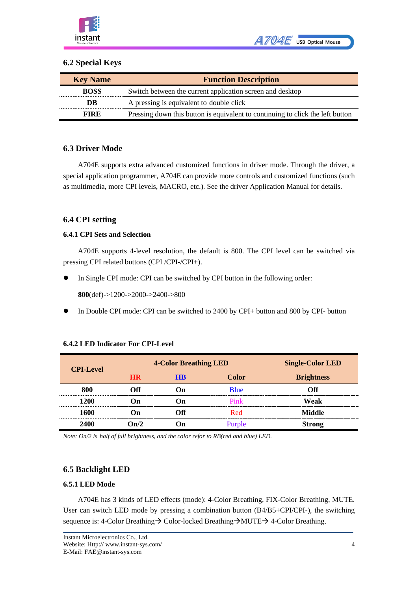

#### <span id="page-5-0"></span>**6.2 Special Keys**

| <b>Key Name</b> | <b>Function Description</b>                                                    |
|-----------------|--------------------------------------------------------------------------------|
| <b>BOSS</b>     | Switch between the current application screen and desktop                      |
| DB              | A pressing is equivalent to double click                                       |
| <b>FIRE</b>     | Pressing down this button is equivalent to continuing to click the left button |

#### <span id="page-5-1"></span>**6.3 Driver Mode**

A704E supports extra advanced customized functions in driver mode. Through the driver, a special application programmer, A704E can provide more controls and customized functions (such as multimedia, more CPI levels, MACRO, etc.). See the driver Application Manual for details.

#### <span id="page-5-2"></span>**6.4 CPI setting**

#### <span id="page-5-3"></span>**6.4.1 CPI Sets and Selection**

A704E supports 4-level resolution, the default is 800. The CPI level can be switched via pressing CPI related buttons (CPI /CPI-/CPI+).

⚫ In Single CPI mode: CPI can be switched by CPI button in the following order:

**800**(def)->1200->2000->2400->800

⚫ In Double CPI mode: CPI can be switched to 2400 by CPI+ button and 800 by CPI- button

| <b>CPI-Level</b> |           | <b>4-Color Breathing LED</b> | <b>Single-Color LED</b> |                   |  |  |
|------------------|-----------|------------------------------|-------------------------|-------------------|--|--|
|                  | <b>HR</b> | <b>HB</b>                    | <b>Color</b>            | <b>Brightness</b> |  |  |
| 800              | ∩ff       | On                           | <b>B</b> lue            | ∩ff               |  |  |
| 1200             | Dn.       | l )n                         | Pink                    | Weak              |  |  |
| 1600             | l )n      | Off                          | Red                     | Middle            |  |  |
| 2400             | Դո/2      | )n                           | Purple                  | <b>Strong</b>     |  |  |

#### <span id="page-5-4"></span>**6.4.2 LED Indicator For CPI-Level**

*Note: On/2 is half of full brightness, and the color refor to RB(red and blue) LED.*

#### <span id="page-5-5"></span>**6.5 Backlight LED**

#### <span id="page-5-6"></span>**6.5.1 LED Mode**

A704E has 3 kinds of LED effects (mode): 4-Color Breathing, FIX-Color Breathing, MUTE. User can switch LED mode by pressing a combination button (B4/B5+CPI/CPI-), the switching sequence is: 4-Color Breathing→ Color-locked Breathing→MUTE→ 4-Color Breathing.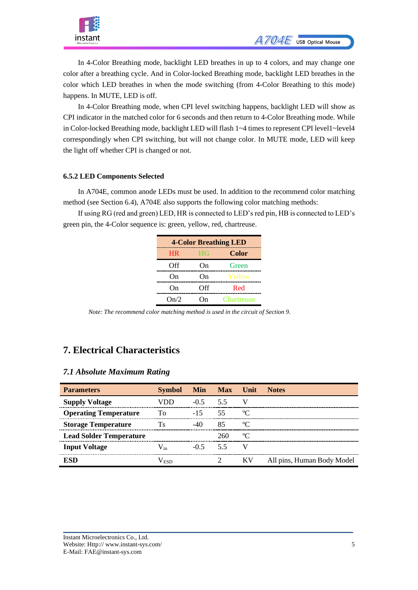

In 4-Color Breathing mode, backlight LED breathes in up to 4 colors, and may change one color after a breathing cycle. And in Color-locked Breathing mode, backlight LED breathes in the color which LED breathes in when the mode switching (from 4-Color Breathing to this mode) happens. In MUTE, LED is off.

In 4-Color Breathing mode, when CPI level switching happens, backlight LED will show as CPI indicator in the matched color for 6 seconds and then return to 4-Color Breathing mode. While in Color-locked Breathing mode, backlight LED will flash 1~4 times to represent CPI level1~level4 [correspondingly](javascript:;) when CPI switching, but will not change color. In MUTE mode, LED will keep the light off whether CPI is changed or not.

#### <span id="page-6-0"></span>**6.5.2 LED Components Selected**

In A704E, common anode LEDs must be used. In addition to the recommend color matching method (see Section 6.4), A704E also supports the following color matching methods:

If using RG (red and green) LED, HR is connected to LED's red pin, HB is connected to LED's green pin, the 4-Color sequence is: green, yellow, red, chartreuse.

| <b>4-Color Breathing LED</b> |           |                   |  |  |  |  |  |  |  |  |
|------------------------------|-----------|-------------------|--|--|--|--|--|--|--|--|
| <b>HR</b>                    | <b>HG</b> | Color             |  |  |  |  |  |  |  |  |
| Off                          | On        | Green             |  |  |  |  |  |  |  |  |
| On                           | On        | Yellow            |  |  |  |  |  |  |  |  |
| On                           | Off       | Red               |  |  |  |  |  |  |  |  |
| On/2                         | ∩n        | <b>Chartreuse</b> |  |  |  |  |  |  |  |  |

*Note: The recommend color matching method is used in the circuit of Section 9.*

### <span id="page-6-1"></span>**7. Electrical Characteristics**

#### <span id="page-6-2"></span>*7.1 Absolute Maximum Rating*

| <b>Parameters</b>              | <b>Symbol</b> |            | Min Max Unit |           | <b>Notes</b>               |
|--------------------------------|---------------|------------|--------------|-----------|----------------------------|
| <b>Supply Voltage</b>          | VDD           | $-0.5$ 5.5 |              | V         |                            |
| <b>Operating Temperature</b>   | Tο            | $-15$      | -55          | $\rm ^oC$ |                            |
| <b>Storage Temperature</b>     | Ts            | $-40$      | 85           | $\rm ^oC$ |                            |
| <b>Lead Solder Temperature</b> |               |            | 260          | $\rm ^oC$ |                            |
| <b>Input Voltage</b>           | $V_{in}$      | $-0.5$     | -5.5         | V         |                            |
| ESD                            | Vesd          |            |              | KV        | All pins, Human Body Model |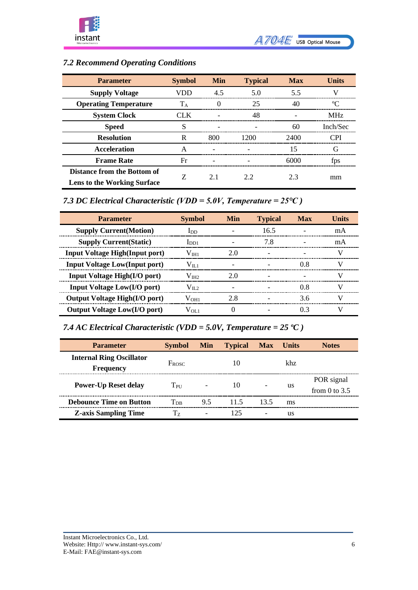

# <span id="page-7-0"></span>*7.2 Recommend Operating Conditions*

| <b>Parameter</b>                   | <b>Symbol</b> | Min | <b>Typical</b> | <b>Max</b> | <b>Units</b> |
|------------------------------------|---------------|-----|----------------|------------|--------------|
| <b>Supply Voltage</b>              | VDD           | 4.5 | 5.0            | 5.5        | V            |
| <b>Operating Temperature</b>       | $T_A$         | 0   | 25             | 40         | ℃            |
| <b>System Clock</b>                | CLK           |     | 48             |            | <b>MHz</b>   |
| <b>Speed</b>                       | S             |     |                | 60         | Inch/Sec     |
| <b>Resolution</b>                  | R             | 800 | 1200           | 2400       | <b>CPI</b>   |
| <b>Acceleration</b>                | A             |     |                | 15         | G            |
| <b>Frame Rate</b>                  | Fr            |     |                | 6000       | fps          |
| Distance from the Bottom of        |               | 2.1 | 2.2            | 2.3        |              |
| <b>Lens to the Working Surface</b> |               |     |                |            | mm           |

### <span id="page-7-1"></span>*7.3 DC Electrical Characteristic (VDD = 5.0V, Temperature = 25℃ )*

| <b>Parameter</b>                       | <b>Symbol</b>    | Min | <b>Typical</b> | <b>Max</b> | Units |
|----------------------------------------|------------------|-----|----------------|------------|-------|
| <b>Supply Current (Motion)</b>         | $_{\rm{LDD}}$    |     | 16.5           |            | mA    |
| <b>Supply Current (Static)</b>         | $_{\text{IDD1}}$ |     | 7.8            |            | mA    |
| <b>Input Voltage High (Input port)</b> | $\rm V_{\rm HI}$ | 2.0 |                |            | V     |
| <b>Input Voltage Low(Input port)</b>   | $\rm V_{II.1}$   |     |                | 0.8        | V     |
| <b>Input Voltage High(I/O port)</b>    | $\rm V$ інэ      | 2.0 |                |            | V     |
| <b>Input Voltage Low(I/O port)</b>     | $V_{II,2}$       |     |                | 0.8        | V)    |
| <b>Output Voltage High(I/O port)</b>   | $\rm V_{OH1}$    | 2.8 |                | 3.6        | V     |
| <b>Output Voltage Low(I/O port)</b>    | Vol 1            |     |                | 03         | V)    |

## <span id="page-7-2"></span>*7.4 AC Electrical Characteristic (VDD = 5.0V, Temperature = 25 ºC )*

| <b>Parameter</b>                                    | <b>Symbol</b>              | Min | <b>Typical</b> | <b>Max</b> | <b>Units</b> | <b>Notes</b>                  |
|-----------------------------------------------------|----------------------------|-----|----------------|------------|--------------|-------------------------------|
| <b>Internal Ring Oscillator</b><br><b>Frequency</b> | $F_{ROSC}$                 |     | 10             |            | khz          |                               |
| <b>Power-Up Reset delay</b>                         | $T_{\rm PI}$               |     | 10             |            | us           | POR signal<br>from 0 to $3.5$ |
| <b>Debounce Time on Button</b>                      | $\mathrm{T_{\mathrm{DB}}}$ | 9.5 | 11.5           | 13.5       | ms           |                               |
| <b>Z-axis Sampling Time</b>                         | Tz                         |     | 125            |            | us           |                               |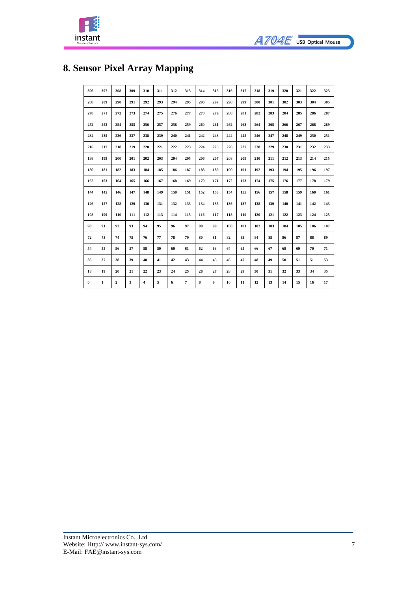



# <span id="page-8-0"></span>**8. Sensor Pixel Array Mapping**

| 306      | 307          | 308              | 309 | 310 | 311 | 312 | 313 | 314 | 315 | 316 | 317 | 318 | 319 | 320 | 321 | 322 | 323 |
|----------|--------------|------------------|-----|-----|-----|-----|-----|-----|-----|-----|-----|-----|-----|-----|-----|-----|-----|
| 288      | 289          | 290              | 291 | 292 | 293 | 294 | 295 | 296 | 297 | 298 | 299 | 300 | 301 | 302 | 303 | 304 | 305 |
| 270      | 271          | 272              | 273 | 274 | 275 | 276 | 277 | 278 | 279 | 280 | 281 | 282 | 283 | 284 | 285 | 286 | 287 |
| 252      | 253          | 254              | 255 | 256 | 257 | 258 | 259 | 260 | 261 | 262 | 263 | 264 | 265 | 266 | 267 | 268 | 269 |
| 234      | 235          | 236              | 237 | 238 | 239 | 240 | 241 | 242 | 243 | 244 | 245 | 246 | 247 | 248 | 249 | 250 | 251 |
| 216      | 217          | 218              | 219 | 220 | 221 | 222 | 223 | 224 | 225 | 226 | 227 | 228 | 229 | 230 | 231 | 232 | 233 |
| 198      | 199          | 200              | 201 | 202 | 203 | 204 | 205 | 206 | 207 | 208 | 209 | 210 | 211 | 212 | 213 | 214 | 215 |
| 180      | 181          | 182              | 183 | 184 | 185 | 186 | 187 | 188 | 189 | 190 | 191 | 192 | 193 | 194 | 195 | 196 | 197 |
| 162      | 163          | 164              | 165 | 166 | 167 | 168 | 169 | 170 | 171 | 172 | 173 | 174 | 175 | 176 | 177 | 178 | 179 |
| 144      | 145          | 146              | 147 | 148 | 149 | 150 | 151 | 152 | 153 | 154 | 155 | 156 | 157 | 158 | 159 | 160 | 161 |
| 126      | 127          | 128              | 129 | 130 | 131 | 132 | 133 | 134 | 135 | 136 | 137 | 138 | 139 | 140 | 141 | 142 | 143 |
| 108      | 109          | 110              | 111 | 112 | 113 | 114 | 115 | 116 | 117 | 118 | 119 | 120 | 121 | 122 | 123 | 124 | 125 |
| 90       | 91           | 92               | 93  | 94  | 95  | 96  | 97  | 98  | 99  | 100 | 101 | 102 | 103 | 104 | 105 | 106 | 107 |
| 72       | 73           | 74               | 75  | 76  | 77  | 78  | 79  | 80  | 81  | 82  | 83  | 84  | 85  | 86  | 87  | 88  | 89  |
| 54       | 55           | 56               | 57  | 58  | 59  | 60  | 61  | 62  | 63  | 64  | 65  | 66  | 67  | 68  | 69  | 70  | 71  |
| 36       | 37           | 38               | 39  | 40  | 41  | 42  | 43  | 44  | 45  | 46  | 47  | 48  | 49  | 50  | 51  | 51  | 53  |
| 18       | 19           | 20               | 21  | 22  | 23  | 24  | 25  | 26  | 27  | 28  | 29  | 30  | 31  | 32  | 33  | 34  | 35  |
| $\bf{0}$ | $\mathbf{1}$ | $\boldsymbol{2}$ | 3   | 4   | 5   | 6   | 7   | 8   | 9   | 10  | 11  | 12  | 13  | 14  | 15  | 16  | 17  |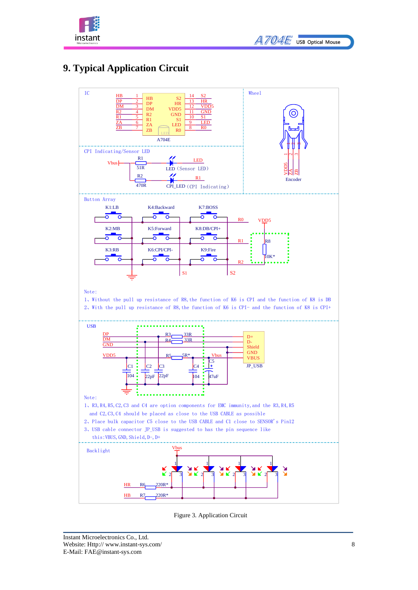

# <span id="page-9-0"></span>**9. Typical Application Circuit** 1



Figure 3. Application Circuit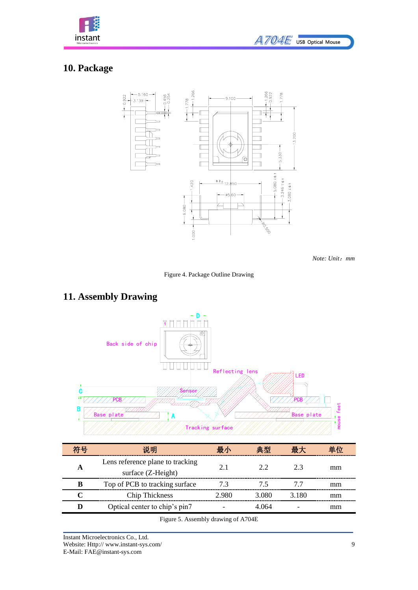

# <span id="page-10-0"></span>**10. Package**



*Note: Unit*:*mm*

Figure 4. Package Outline Drawing

### <span id="page-10-1"></span>**11. Assembly Drawing**



Figure 5. Assembly drawing of A704E